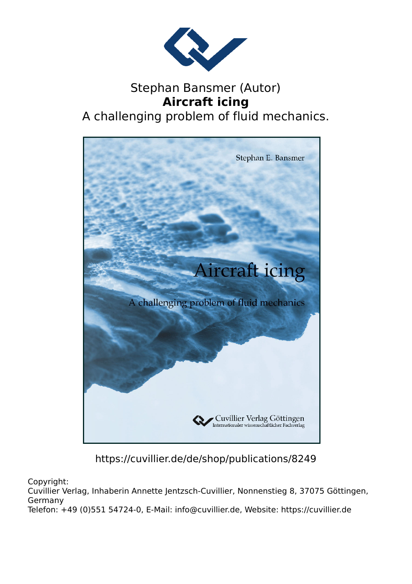

# Stephan Bansmer (Autor) **Aircraft icing** A challenging problem of fluid mechanics.



https://cuvillier.de/de/shop/publications/8249

Copyright:

Cuvillier Verlag, Inhaberin Annette Jentzsch-Cuvillier, Nonnenstieg 8, 37075 Göttingen, Germany

Telefon: +49 (0)551 54724-0, E-Mail: info@cuvillier.de, Website: https://cuvillier.de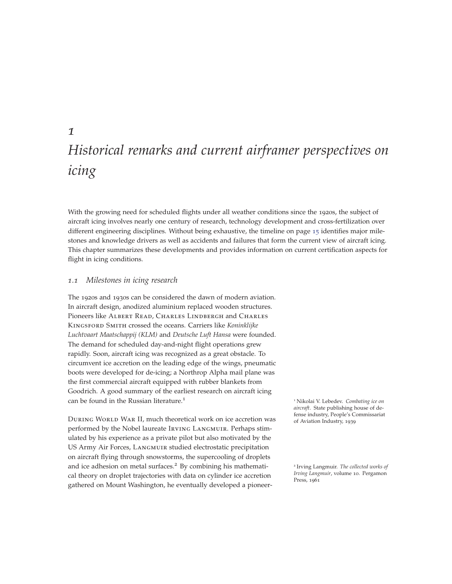# *Historical remarks and current airframer perspectives on icing*

With the growing need for scheduled flights under all weather conditions since the 1920s, the subject of aircraft icing involves nearly one century of research, technology development and cross-fertilization over different engineering disciplines. Without being exhaustive, the timeline on page 15 identifies major milestones and knowledge drivers as well as accidents and failures that form the current view of aircraft icing. This chapter summarizes these developments and provides information on current certification aspects for flight in icing conditions.

# *1.1 Milestones in icing research*

The 1920s and 1930s can be considered the dawn of modern aviation. In aircraft design, anodized aluminium replaced wooden structures. Pioneers like ALBERT READ, CHARLES LINDBERGH and CHARLES Kingsford Smith crossed the oceans. Carriers like *Koninklijke Luchtvaart Maatschappij (KLM)* and *Deutsche Luft Hansa* were founded. The demand for scheduled day-and-night flight operations grew rapidly. Soon, aircraft icing was recognized as a great obstacle. To circumvent ice accretion on the leading edge of the wings, pneumatic boots were developed for de-icing; a Northrop Alpha mail plane was the first commercial aircraft equipped with rubber blankets from Goodrich. A good summary of the earliest research on aircraft icing can be found in the Russian literature.<sup>1</sup> <sup>1</sup> Nikolai V. Lebedev. *Combating ice on*

**DURING WORLD WAR II, much theoretical work on ice accretion was** of Aviation Industry, 1939 performed by the Nobel laureate Irving Langmuir. Perhaps stimulated by his experience as a private pilot but also motivated by the US Army Air Forces, Langmuir studied electrostatic precipitation on aircraft flying through snowstorms, the supercooling of droplets and ice adhesion on metal surfaces.<sup>2</sup> By combining his mathemati- <sup>2</sup> Irving Langmuir. *The collected works of* cal theory on droplet trajectories with data on cylinder ice accretion gathered on Mount Washington, he eventually developed a pioneer-

*aircraft*. State publishing house of de-

*Irving Langmuir*, volume 10. Pergamon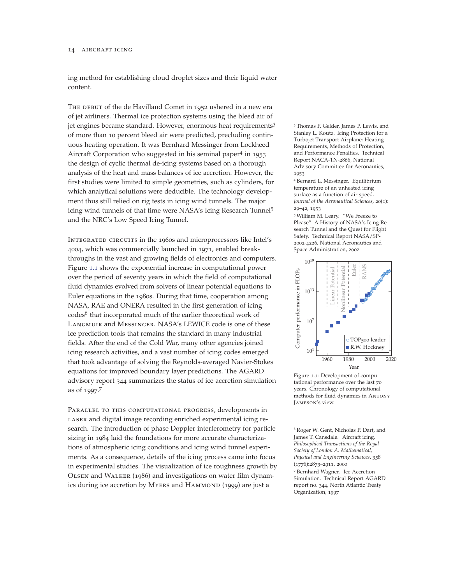#### 14 aircraft icing

ing method for establishing cloud droplet sizes and their liquid water content.

THE DEBUT of the de Havilland Comet in 1952 ushered in a new era of jet airliners. Thermal ice protection systems using the bleed air of jet engines became standard. However, enormous heat requirements<sup>3</sup> 3 Thomas F. Gelder, James P. Lewis, and of more than 10 percent bleed air were predicted, precluding continuous heating operation. It was Bernhard Messinger from Lockheed Aircraft Corporation who suggested in his seminal paper<sup>4</sup> in <sup>1953</sup> the design of cyclic thermal de-icing systems based on a thorough analysis of the heat and mass balances of ice accretion. However, the first studies were limited to simple geometries, such as cylinders, for which analytical solutions were deducible. The technology development thus still relied on rig tests in icing wind tunnels. The major icing wind tunnels of that time were NASA's Icing Research Tunnel<sup>5</sup> and the NRC's Low Speed Icing Tunnel.

Integrated circuits in the 1960s and microprocessors like Intel's 4004, which was commercially launched in 1971, enabled breakthroughs in the vast and growing fields of electronics and computers. Figure 1.1 shows the exponential increase in computational power over the period of seventy years in which the field of computational fluid dynamics evolved from solvers of linear potential equations to Euler equations in the 1980s. During that time, cooperation among NASA, RAE and ONERA resulted in the first generation of icing codes<sup>6</sup> that incorporated much of the earlier theoretical work of Langmuir and Messinger. NASA's LEWICE code is one of these ice prediction tools that remains the standard in many industrial fields. After the end of the Cold War, many other agencies joined icing research activities, and a vast number of icing codes emerged that took advantage of solving the Reynolds-averaged Navier-Stokes equations for improved boundary layer predictions. The AGARD advisory report 344 summarizes the status of ice accretion simulation as of 1997. 7

PARALLEL TO THIS COMPUTATIONAL PROGRESS, developments in LASER and digital image recording enriched experimental icing research. The introduction of phase Doppler interferometry for particle sizing in 1984 laid the foundations for more accurate characterizations of atmospheric icing conditions and icing wind tunnel experiments. As a consequence, details of the icing process came into focus in experimental studies. The visualization of ice roughness growth by Olsen and Walker (1986) and investigations on water film dynamics during ice accretion by MYERS and HAMMOND (1999) are just a

Stanley L. Koutz. Icing Protection for a Turbojet Transport Airplane: Heating Requirements, Methods of Protection, and Performance Penalties. Technical Report NACA-TN-2866, National Advisory Committee for Aeronautics, 1953

<sup>4</sup> Bernard L. Messinger. Equilibrium temperature of an unheated icing surface as a function of air speed. *Journal of the Aeronautical Sciences*, 20(1): 29–42, 1953

<sup>5</sup> William M. Leary. "We Freeze to Please": A History of NASA's Icing Research Tunnel and the Quest for Flight Safety. Technical Report NASA/SP-2002-4226, National Aeronautics and Space Administration, 2002



Figure 1.1: Development of computational performance over the last 70 years. Chronology of computational methods for fluid dynamics in Antony Jameson's view.

<sup>6</sup> Roger W. Gent, Nicholas P. Dart, and James T. Cansdale. Aircraft icing. *Philosophical Transactions of the Royal Society of London A: Mathematical, Physical and Engineering Sciences*, 358 (1776):2873–2911, 2000 <sup>7</sup> Bernhard Wagner. Ice Accretion Simulation. Technical Report AGARD report no. 344, North Atlantic Treaty Organization, 1997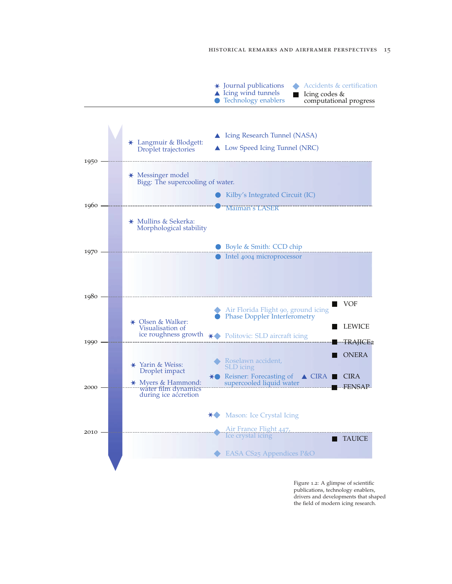

Figure 1.2: A glimpse of scientific publications, technology enablers, drivers and developments that shaped the field of modern icing research.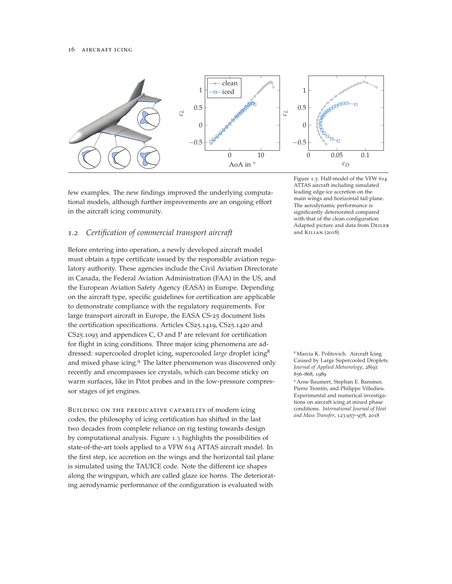

few examples. The new findings improved the underlying computational models, although further improvements are an ongoing effort in the aircraft icing community.

# *1.2 Certification of commercial transport aircraft*

Before entering into operation, a newly developed aircraft model must obtain a type certificate issued by the responsible aviation regulatory authority. These agencies include the Civil Aviation Directorate in Canada, the Federal Aviation Administration (FAA) in the US, and the European Aviation Safety Agency (EASA) in Europe. Depending on the aircraft type, specific guidelines for certification are applicable to demonstrate compliance with the regulatory requirements. For large transport aircraft in Europe, the EASA CS-25 document lists the certification specifications. Articles CS25.1419, CS25.1420 and CS25.1093 and appendices C, O and P are relevant for certification for flight in icing conditions. Three major icing phenomena are addressed: supercooled droplet icing, supercooled *large* droplet icing<sup>8</sup> <sup>8</sup> Marcia K. Politovich. Aircraft Icing and mixed phase icing.<sup>9</sup> The latter phenomenon was discovered only recently and encompasses ice crystals, which can become sticky on warm surfaces, like in Pitot probes and in the low-pressure compressor stages of jet engines.

Building on the predicative capability of modern icing codes, the philosophy of icing certification has shifted in the last two decades from complete reliance on rig testing towards design by computational analysis. Figure 1.3 highlights the possibilities of state-of-the-art tools applied to a VFW 614 ATTAS aircraft model. In the first step, ice accretion on the wings and the horizontal tail plane is simulated using the TAUICE code. Note the different ice shapes along the wingspan, which are called glaze ice horns. The deteriorating aerodynamic performance of the configuration is evaluated with

Figure 1.3: Half-model of the VFW 614 ATTAS aircraft including simulated leading edge ice accretion on the main wings and horizontal tail plane. The aerodynamic performance is significantly deteriorated compared with that of the clean configuration. Adapted picture and data from Deiler and Kilian (2018).

Caused by Large Supercooled Droplets. *Journal of Applied Meteorology*, 28(9): 856–868, 1989

<sup>9</sup> Arne Baumert, Stephan E. Bansmer, Pierre Trontin, and Philippe Villedieu. Experimental and numerical investigations on aircraft icing at mixed phase conditions. *International Journal of Heat and Mass Transfer*, 123:957–978, 2018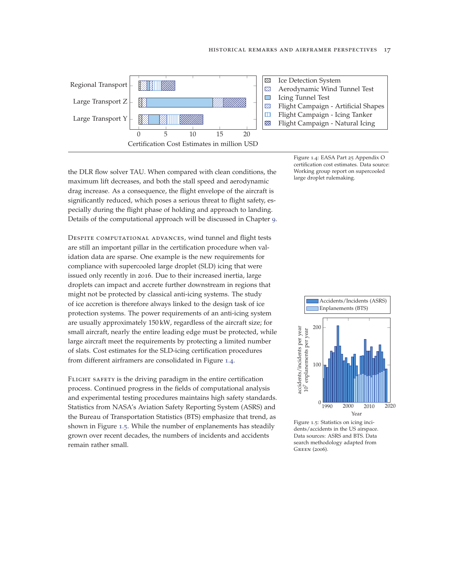

the DLR flow solver TAU. When compared with clean conditions, the maximum lift decreases, and both the stall speed and aerodynamic drag increase. As a consequence, the flight envelope of the aircraft is significantly reduced, which poses a serious threat to flight safety, especially during the flight phase of holding and approach to landing. Details of the computational approach will be discussed in Chapter 9.

DESPITE COMPUTATIONAL ADVANCES, wind tunnel and flight tests are still an important pillar in the certification procedure when validation data are sparse. One example is the new requirements for compliance with supercooled large droplet (SLD) icing that were issued only recently in 2016. Due to their increased inertia, large droplets can impact and accrete further downstream in regions that might not be protected by classical anti-icing systems. The study of ice accretion is therefore always linked to the design task of ice protection systems. The power requirements of an anti-icing system are usually approximately 150 kW, regardless of the aircraft size; for small aircraft, nearly the entire leading edge must be protected, while large aircraft meet the requirements by protecting a limited number of slats. Cost estimates for the SLD-icing certification procedures from different airframers are consolidated in Figure 1.4.

FLIGHT SAFETY is the driving paradigm in the entire certification process. Continued progress in the fields of computational analysis and experimental testing procedures maintains high safety standards. Statistics from NASA's Aviation Safety Reporting System (ASRS) and the Bureau of Transportation Statistics (BTS) emphasize that trend, as shown in Figure 1.5. While the number of enplanements has steadily grown over recent decades, the numbers of incidents and accidents remain rather small.

Figure 1.4: EASA Part 25 Appendix O certification cost estimates. Data source: Working group report on supercooled large droplet rulemaking.



Figure 1.5: Statistics on icing incidents/accidents in the US airspace. Data sources: ASRS and BTS. Data search methodology adapted from Green (2006).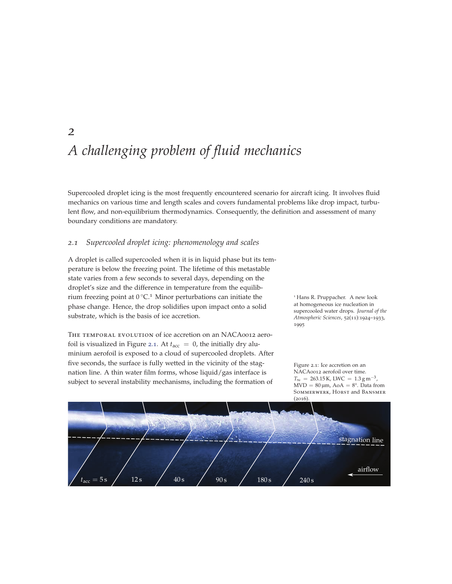# *A challenging problem of fluid mechanics*

Supercooled droplet icing is the most frequently encountered scenario for aircraft icing. It involves fluid mechanics on various time and length scales and covers fundamental problems like drop impact, turbulent flow, and non-equilibrium thermodynamics. Consequently, the definition and assessment of many boundary conditions are mandatory.

# *2.1 Supercooled droplet icing: phenomenology and scales*

*2*

A droplet is called supercooled when it is in liquid phase but its temperature is below the freezing point. The lifetime of this metastable state varies from a few seconds to several days, depending on the droplet's size and the difference in temperature from the equilibrium freezing point at  $0^{\circ}C$ .<sup>1</sup> Minor perturbations can initiate the  $1$  Hans R. Pruppacher. A new look phase change. Hence, the drop solidifies upon impact onto a solid substrate, which is the basis of ice accretion.

THE TEMPORAL EVOLUTION of ice accretion on an NACA0012 aerofoil is visualized in Figure 2.1. At  $t_{\text{acc}} = 0$ , the initially dry aluminium aerofoil is exposed to a cloud of supercooled droplets. After five seconds, the surface is fully wetted in the vicinity of the stagnation line. A thin water film forms, whose liquid/gas interface is

at homogeneous ice nucleation in supercooled water drops. *Journal of the Atmospheric Sciences*, 52(11):1924–1933, 1995



NACA0012 aerofoil over time.

Figure 2.1: Ice accretion on an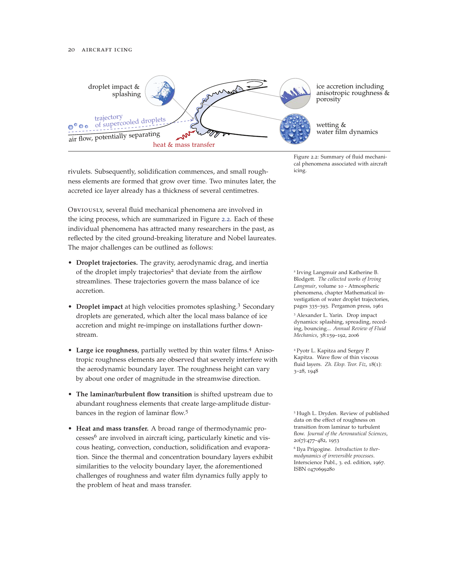

rivulets. Subsequently, solidification commences, and small roughness elements are formed that grow over time. Two minutes later, the accreted ice layer already has a thickness of several centimetres.

Obviously, several fluid mechanical phenomena are involved in the icing process, which are summarized in Figure 2.2. Each of these individual phenomena has attracted many researchers in the past, as reflected by the cited ground-breaking literature and Nobel laureates. The major challenges can be outlined as follows:

- **Droplet trajectories.** The gravity, aerodynamic drag, and inertia of the droplet imply trajectories<sup>2</sup> that deviate from the airflow <sup>2</sup> Irving Langmuir and Katherine B. streamlines. These trajectories govern the mass balance of ice accretion.
- **Droplet impact** at high velocities promotes splashing.<sup>3</sup> Secondary droplets are generated, which alter the local mass balance of ice accretion and might re-impinge on installations further downstream.
- Large ice roughness, partially wetted by thin water films.<sup>4</sup> Aniso-  $4$  Pyotr L. Kapitza and Sergey P. tropic roughness elements are observed that severely interfere with the aerodynamic boundary layer. The roughness height can vary by about one order of magnitude in the streamwise direction.
- **The laminar/turbulent flow transition** is shifted upstream due to abundant roughness elements that create large-amplitude disturbances in the region of laminar flow.<sup>5</sup> 5 Flugh L. Dryden. Review of published
- **Heat and mass transfer.** A broad range of thermodynamic pro $c$ esses<sup>6</sup> are involved in aircraft icing, particularly kinetic and viscous heating, convection, conduction, solidification and evaporation. Since the thermal and concentration boundary layers exhibit similarities to the velocity boundary layer, the aforementioned challenges of roughness and water film dynamics fully apply to the problem of heat and mass transfer.

cal phenomena associated with aircraft

Blodgett. *The collected works of Irving Langmuir*, volume 10 - Atmospheric phenomena, chapter Mathematical investigation of water droplet trajectories, pages 335–393. Pergamon press, 1961

<sup>3</sup> Alexander L. Yarin. Drop impact dynamics: splashing, spreading, receding, bouncing... *Annual Review of Fluid Mechanics*, 38:159–192, 2006

Kapitza. Wave flow of thin viscous fluid layers. *Zh. Eksp. Teor. Fiz*, 18(1): 3–28, 1948

data on the effect of roughness on transition from laminar to turbulent flow. *Journal of the Aeronautical Sciences*, 20(7):477–482, 1953 <sup>6</sup> Ilya Prigogine. *Introduction to thermodynamics of irreversible processes*. Interscience Publ., 3. ed. edition, 1967. ISBN 0470699280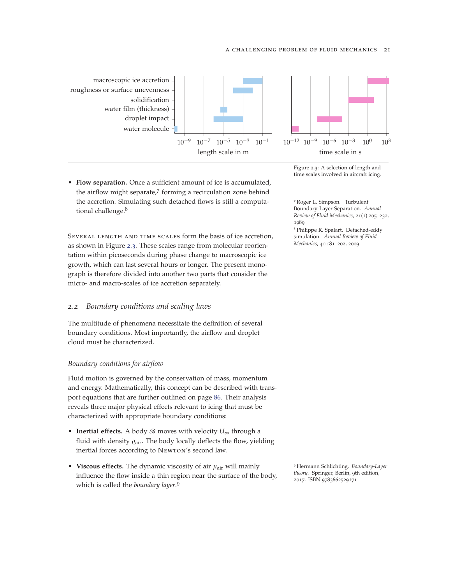#### a challenging problem of fluid mechanics 21



• **Flow separation.** Once a sufficient amount of ice is accumulated, the airflow might separate,<sup>7</sup> forming a recirculation zone behind the accretion. Simulating such detached flows is still a computational challenge.<sup>8</sup>

SEVERAL LENGTH AND TIME SCALES form the basis of ice accretion. as shown in Figure 2.3. These scales range from molecular reorientation within picoseconds during phase change to macroscopic ice growth, which can last several hours or longer. The present monograph is therefore divided into another two parts that consider the micro- and macro-scales of ice accretion separately.

### *2.2 Boundary conditions and scaling laws*

The multitude of phenomena necessitate the definition of several boundary conditions. Most importantly, the airflow and droplet cloud must be characterized.

#### *Boundary conditions for airflow*

Fluid motion is governed by the conservation of mass, momentum and energy. Mathematically, this concept can be described with transport equations that are further outlined on page 86. Their analysis reveals three major physical effects relevant to icing that must be characterized with appropriate boundary conditions:

- **Inertial effects.** A body B moves with velocity *U*<sup>∞</sup> through a fluid with density  $\varrho_{\rm air}$ . The body locally deflects the flow, yielding inertial forces according to Newton's second law.
- **Viscous effects.** The dynamic viscosity of air *μ*air will mainly influence the flow inside a thin region near the surface of the body, which is called the *boundary layer*. 9

Figure 2.3: A selection of length and time scales involved in aircraft icing.

<sup>7</sup> Roger L. Simpson. Turbulent Boundary-Layer Separation. *Annual Review of Fluid Mechanics*, 21(1):205–232, 1989

<sup>8</sup> Philippe R. Spalart. Detached-eddy simulation. *Annual Review of Fluid Mechanics*, 41:181–202, 2009

<sup>9</sup> Hermann Schlichting. *Boundary-Layer theory*. Springer, Berlin, 9th edition, 2017. ISBN 9783662529171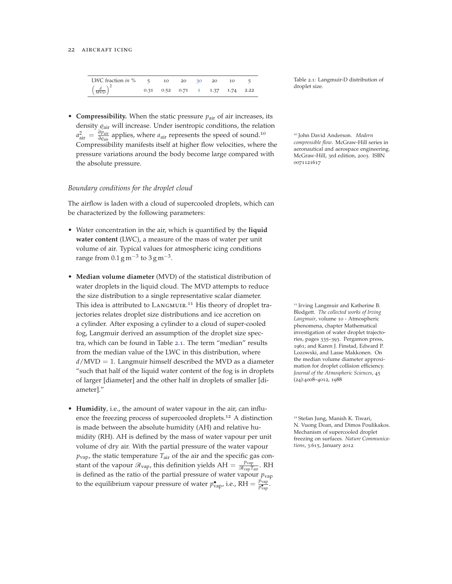#### 22 AIRCRAFT ICING

| LWC fraction <i>in</i> $\%$ 5         | 10                              | 20 30 | 20 | 10 |  |
|---------------------------------------|---------------------------------|-------|----|----|--|
| $\left(\frac{d}{\text{MVD}}\right)^2$ | 0.31 0.52 0.71 1 1.37 1.74 2.22 |       |    |    |  |

• **Compressibility.** When the static pressure  $p_{\text{air}}$  of air increases, its density <sub>*Qair*</sub> will increase. Under isentropic conditions, the relation  $a_{\text{air}}^2 = \frac{\partial p_{\text{air}}}{\partial q_{\text{air}}}$  applies, where  $a_{\text{air}}$  represents the speed of sound.<sup>10</sup> 10 John David Anderson. *Modern* Uill compressible flora. McCrown Hill compressible floral McCrown Hill compressible floral McC Compressibility manifests itself at higher flow velocities, where the pressure variations around the body become large compared with the absolute pressure.

#### *Boundary conditions for the droplet cloud*

The airflow is laden with a cloud of supercooled droplets, which can be characterized by the following parameters:

- Water concentration in the air, which is quantified by the **liquid water content** (LWC), a measure of the mass of water per unit volume of air. Typical values for atmospheric icing conditions range from  $0.1 \text{ g m}^{-3}$  to  $3 \text{ g m}^{-3}$ .
- **Median volume diameter** (MVD) of the statistical distribution of water droplets in the liquid cloud. The MVD attempts to reduce the size distribution to a single representative scalar diameter. This idea is attributed to LANGMUIR.<sup>11</sup> His theory of droplet tra-<br><sup>11</sup> Irving Langmuir and Katherine B. jectories relates droplet size distributions and ice accretion on a cylinder. After exposing a cylinder to a cloud of super-cooled fog, Langmuir derived an assumption of the droplet size spectra, which can be found in Table 2.1. The term "median" results from the median value of the LWC in this distribution, where  $d/MVD = 1$ . Langmuir himself described the MVD as a diameter "such that half of the liquid water content of the fog is in droplets of larger [diameter] and the other half in droplets of smaller [diameter]."
- **Humidity**, i.e., the amount of water vapour in the air, can influence the freezing process of supercooled droplets.<sup>12</sup> A distinction <sup>12</sup> Stefan Jung, Manish K. Tiwari, is made between the absolute humidity (AH) and relative humidity (RH). AH is defined by the mass of water vapour per unit volume of dry air. With the partial pressure of the water vapour  $p_{\text{vap}}$ , the static temperature  $T_{\text{air}}$  of the air and the specific gas constant of the vapour  $\mathcal{R}_{\text{vap}}$ , this definition yields  $AH = \frac{p_{\text{vap}}}{\mathcal{R}_{\text{vap}}T_{\text{air}}}$ . RH is defined as the ratio of the partial pressure of water vapour  $p_{\text{vap}}$ to the equilibrium vapour pressure of water  $p^{\bullet}_{\text{vap}}$ , i.e., RH =  $\frac{p_{\text{vap}}}{p^{\bullet}_{\text{vap}}}$ .

Table 2.1: Langmuir-D distribution of droplet size.

*compressible flow*. McGraw-Hill series in aeronautical and aerospace engineering. McGraw-Hill, 3rd edition, 2003. ISBN 0071121617

Blodgett. *The collected works of Irving Langmuir*, volume 10 - Atmospheric phenomena, chapter Mathematical investigation of water droplet trajectories, pages 335–393. Pergamon press, 1961; and Karen J. Finstad, Edward P. Lozowski, and Lasse Makkonen. On the median volume diameter approximation for droplet collision efficiency. *Journal of the Atmospheric Sciences*, 45 (24):4008–4012, 1988

N. Vuong Doan, and Dimos Poulikakos. Mechanism of supercooled droplet freezing on surfaces. *Nature Communications*, 3:615, January 2012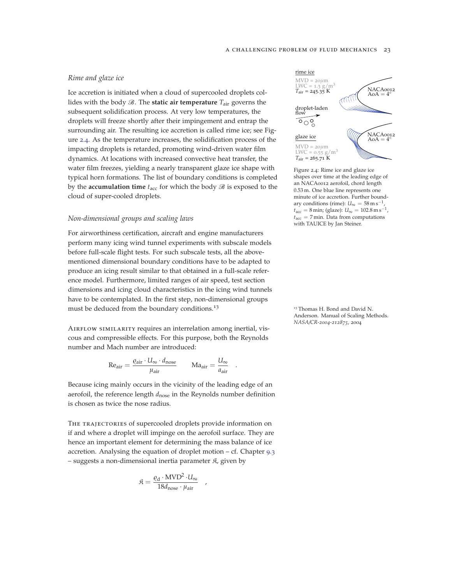## *Rime and glaze ice*

Ice accretion is initiated when a cloud of supercooled droplets collides with the body  $\mathcal{B}$ . The **static air temperature**  $T_{\text{air}}$  governs the subsequent solidification process. At very low temperatures, the droplets will freeze shortly after their impingement and entrap the surrounding air. The resulting ice accretion is called rime ice; see Figure 2.4. As the temperature increases, the solidification process of the impacting droplets is retarded, promoting wind-driven water film dynamics. At locations with increased convective heat transfer, the water film freezes, yielding a nearly transparent glaze ice shape with typical horn formations. The list of boundary conditions is completed by the **accumulation time**  $t_{\text{acc}}$  for which the body  $\mathcal{B}$  is exposed to the cloud of super-cooled droplets.

### *Non-dimensional groups and scaling laws*

For airworthiness certification, aircraft and engine manufacturers perform many icing wind tunnel experiments with subscale models before full-scale flight tests. For such subscale tests, all the abovementioned dimensional boundary conditions have to be adapted to produce an icing result similar to that obtained in a full-scale reference model. Furthermore, limited ranges of air speed, test section dimensions and icing cloud characteristics in the icing wind tunnels have to be contemplated. In the first step, non-dimensional groups must be deduced from the boundary conditions.<sup>13</sup> 13 Thomas H. Bond and David N.

AIRFLOW SIMILARITY requires an interrelation among inertial, viscous and compressible effects. For this purpose, both the Reynolds number and Mach number are introduced:

$$
\text{Re}_{\text{air}} = \frac{\varrho_{\text{air}} \cdot U_{\infty} \cdot d_{\text{nose}}}{\mu_{\text{air}}} \qquad \text{Ma}_{\text{air}} = \frac{U_{\infty}}{a_{\text{air}}}
$$

.

Because icing mainly occurs in the vicinity of the leading edge of an aerofoil, the reference length  $d_{\text{nose}}$  in the Reynolds number definition is chosen as twice the nose radius.

THE TRAJECTORIES of supercooled droplets provide information on if and where a droplet will impinge on the aerofoil surface. They are hence an important element for determining the mass balance of ice accretion. Analysing the equation of droplet motion – cf. Chapter 9.3 – suggests a non-dimensional inertia parameter  $\mathfrak{K}$ , given by

$$
\mathfrak{K} = \frac{\varrho_{\rm d} \cdot \text{MVD}^2 \cdot U_{\infty}}{18d_{\text{nose}} \cdot \mu_{\text{air}}}
$$

,



Figure 2.4: Rime ice and glaze ice shapes over time at the leading edge of an NACA0012 aerofoil, chord length 0.53 m. One blue line represents one minute of ice accretion. Further boundary conditions (rime):  $U_{\infty} = 58 \,\mathrm{m\,s^{-1}}$  $t_{\text{acc}} = 8 \text{ min}$ ; (glaze):  $U_{\infty} = 102.8 \text{ m s}^{-1}$ ,  $t_{\text{acc}} = 7 \text{min}$ . Data from computations with TAUICE by Jan Steiner.

Anderson. Manual of Scaling Methods. *NASA/CR-2004-212875*, 2004